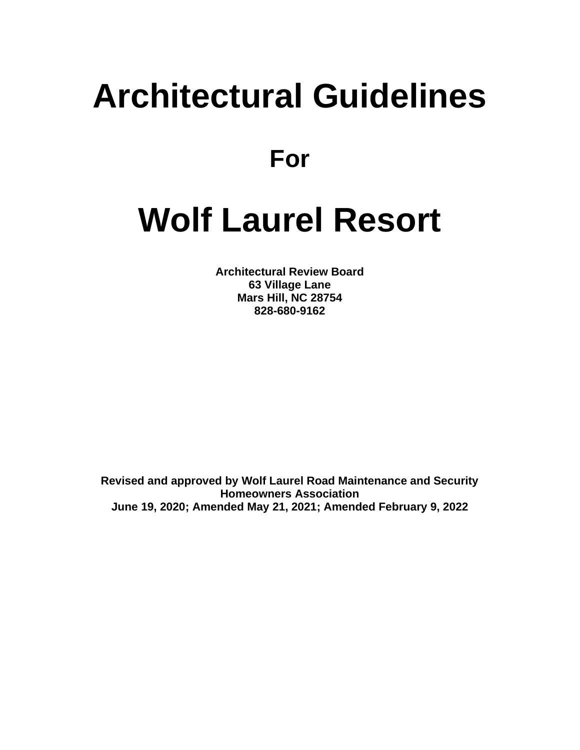# **Architectural Guidelines**

**For**

# **Wolf Laurel Resort**

**Architectural Review Board 63 Village Lane Mars Hill, NC 28754 828-680-9162**

**Revised and approved by Wolf Laurel Road Maintenance and Security Homeowners Association June 19, 2020; Amended May 21, 2021; Amended February 9, 2022**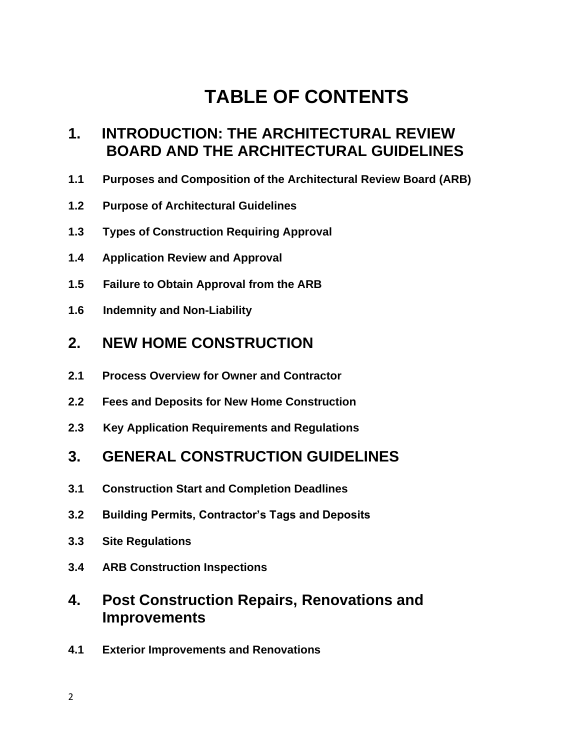# **TABLE OF CONTENTS**

# **1. INTRODUCTION: THE ARCHITECTURAL REVIEW BOARD AND THE ARCHITECTURAL GUIDELINES**

- **1.1 Purposes and Composition of the Architectural Review Board (ARB)**
- **1.2 Purpose of Architectural Guidelines**
- **1.3 Types of Construction Requiring Approval**
- **1.4 Application Review and Approval**
- **1.5 Failure to Obtain Approval from the ARB**
- **1.6 Indemnity and Non-Liability**

#### **2. NEW HOME CONSTRUCTION**

- **2.1 Process Overview for Owner and Contractor**
- **2.2 Fees and Deposits for New Home Construction**
- **2.3 Key Application Requirements and Regulations**

#### **3. GENERAL CONSTRUCTION GUIDELINES**

- **3.1 Construction Start and Completion Deadlines**
- **3.2 Building Permits, Contractor's Tags and Deposits**
- **3.3 Site Regulations**
- **3.4 ARB Construction Inspections**

# **4. Post Construction Repairs, Renovations and Improvements**

**4.1 Exterior Improvements and Renovations**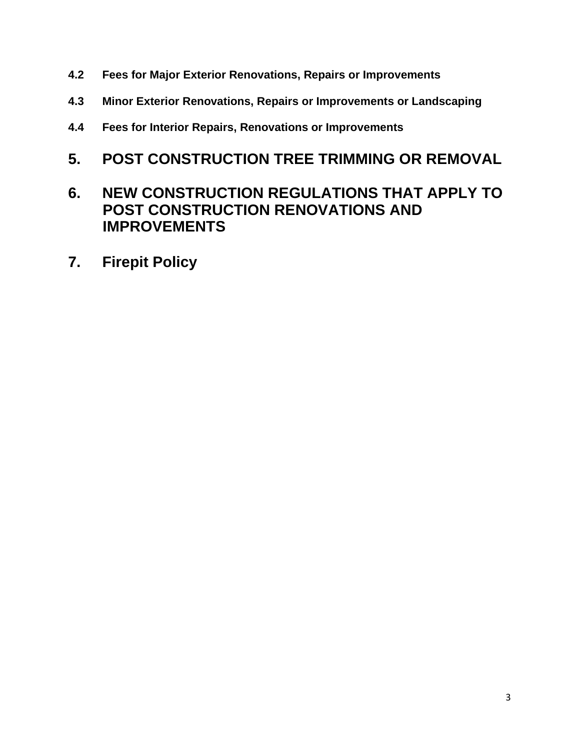- **4.2 Fees for Major Exterior Renovations, Repairs or Improvements**
- **4.3 Minor Exterior Renovations, Repairs or Improvements or Landscaping**
- **4.4 Fees for Interior Repairs, Renovations or Improvements**

# **5. POST CONSTRUCTION TREE TRIMMING OR REMOVAL**

# **6. NEW CONSTRUCTION REGULATIONS THAT APPLY TO POST CONSTRUCTION RENOVATIONS AND IMPROVEMENTS**

**7. Firepit Policy**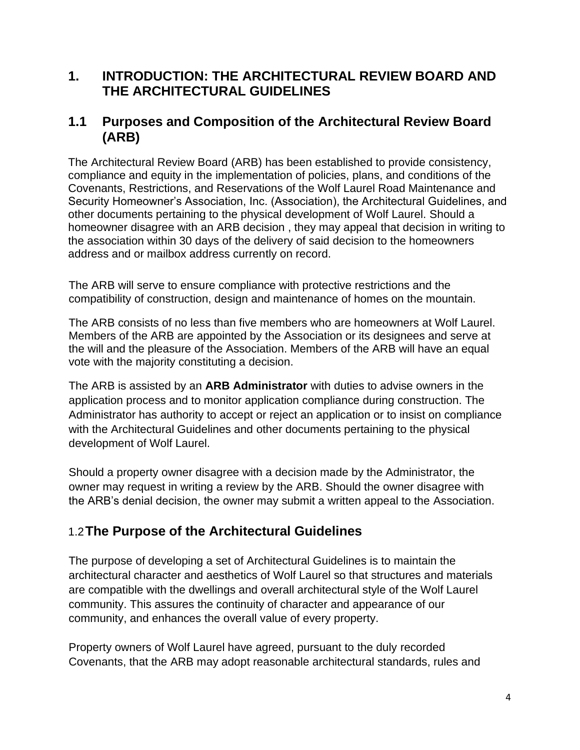#### **1. INTRODUCTION: THE ARCHITECTURAL REVIEW BOARD AND THE ARCHITECTURAL GUIDELINES**

#### **1.1 Purposes and Composition of the Architectural Review Board (ARB)**

The Architectural Review Board (ARB) has been established to provide consistency, compliance and equity in the implementation of policies, plans, and conditions of the Covenants, Restrictions, and Reservations of the Wolf Laurel Road Maintenance and Security Homeowner's Association, Inc. (Association), the Architectural Guidelines, and other documents pertaining to the physical development of Wolf Laurel. Should a homeowner disagree with an ARB decision , they may appeal that decision in writing to the association within 30 days of the delivery of said decision to the homeowners address and or mailbox address currently on record.

The ARB will serve to ensure compliance with protective restrictions and the compatibility of construction, design and maintenance of homes on the mountain.

The ARB consists of no less than five members who are homeowners at Wolf Laurel. Members of the ARB are appointed by the Association or its designees and serve at the will and the pleasure of the Association. Members of the ARB will have an equal vote with the majority constituting a decision.

The ARB is assisted by an **ARB Administrator** with duties to advise owners in the application process and to monitor application compliance during construction. The Administrator has authority to accept or reject an application or to insist on compliance with the Architectural Guidelines and other documents pertaining to the physical development of Wolf Laurel.

Should a property owner disagree with a decision made by the Administrator, the owner may request in writing a review by the ARB. Should the owner disagree with the ARB's denial decision, the owner may submit a written appeal to the Association.

#### 1.2**The Purpose of the Architectural Guidelines**

The purpose of developing a set of Architectural Guidelines is to maintain the architectural character and aesthetics of Wolf Laurel so that structures and materials are compatible with the dwellings and overall architectural style of the Wolf Laurel community. This assures the continuity of character and appearance of our community, and enhances the overall value of every property.

Property owners of Wolf Laurel have agreed, pursuant to the duly recorded Covenants, that the ARB may adopt reasonable architectural standards, rules and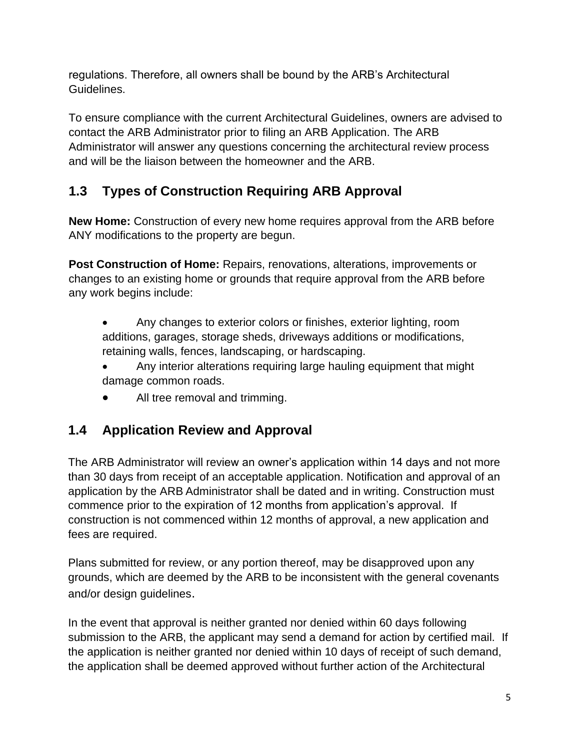regulations. Therefore, all owners shall be bound by the ARB's Architectural Guidelines.

To ensure compliance with the current Architectural Guidelines, owners are advised to contact the ARB Administrator prior to filing an ARB Application. The ARB Administrator will answer any questions concerning the architectural review process and will be the liaison between the homeowner and the ARB.

# **1.3 Types of Construction Requiring ARB Approval**

**New Home:** Construction of every new home requires approval from the ARB before ANY modifications to the property are begun.

**Post Construction of Home:** Repairs, renovations, alterations, improvements or changes to an existing home or grounds that require approval from the ARB before any work begins include:

- Any changes to exterior colors or finishes, exterior lighting, room additions, garages, storage sheds, driveways additions or modifications, retaining walls, fences, landscaping, or hardscaping.
- Any interior alterations requiring large hauling equipment that might damage common roads.
- All tree removal and trimming.

# **1.4 Application Review and Approval**

The ARB Administrator will review an owner's application within 14 days and not more than 30 days from receipt of an acceptable application. Notification and approval of an application by the ARB Administrator shall be dated and in writing. Construction must commence prior to the expiration of 12 months from application's approval. If construction is not commenced within 12 months of approval, a new application and fees are required.

Plans submitted for review, or any portion thereof, may be disapproved upon any grounds, which are deemed by the ARB to be inconsistent with the general covenants and/or design guidelines.

In the event that approval is neither granted nor denied within 60 days following submission to the ARB, the applicant may send a demand for action by certified mail. If the application is neither granted nor denied within 10 days of receipt of such demand, the application shall be deemed approved without further action of the Architectural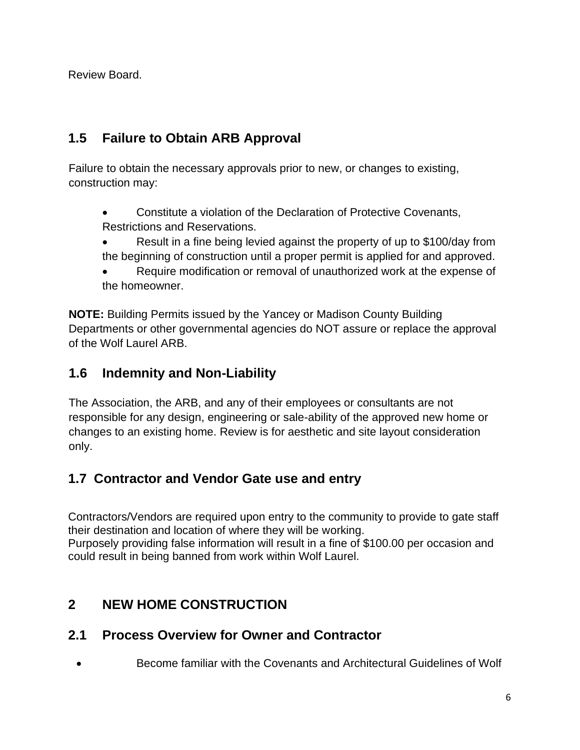Review Board.

## **1.5 Failure to Obtain ARB Approval**

Failure to obtain the necessary approvals prior to new, or changes to existing, construction may:

- Constitute a violation of the Declaration of Protective Covenants, Restrictions and Reservations.
- Result in a fine being levied against the property of up to \$100/day from the beginning of construction until a proper permit is applied for and approved.
- Require modification or removal of unauthorized work at the expense of the homeowner.

**NOTE:** Building Permits issued by the Yancey or Madison County Building Departments or other governmental agencies do NOT assure or replace the approval of the Wolf Laurel ARB.

#### **1.6 Indemnity and Non-Liability**

The Association, the ARB, and any of their employees or consultants are not responsible for any design, engineering or sale-ability of the approved new home or changes to an existing home. Review is for aesthetic and site layout consideration only.

# **1.7 Contractor and Vendor Gate use and entry**

Contractors/Vendors are required upon entry to the community to provide to gate staff their destination and location of where they will be working. Purposely providing false information will result in a fine of \$100.00 per occasion and could result in being banned from work within Wolf Laurel.

# **2 NEW HOME CONSTRUCTION**

#### **2.1 Process Overview for Owner and Contractor**

• Become familiar with the Covenants and Architectural Guidelines of Wolf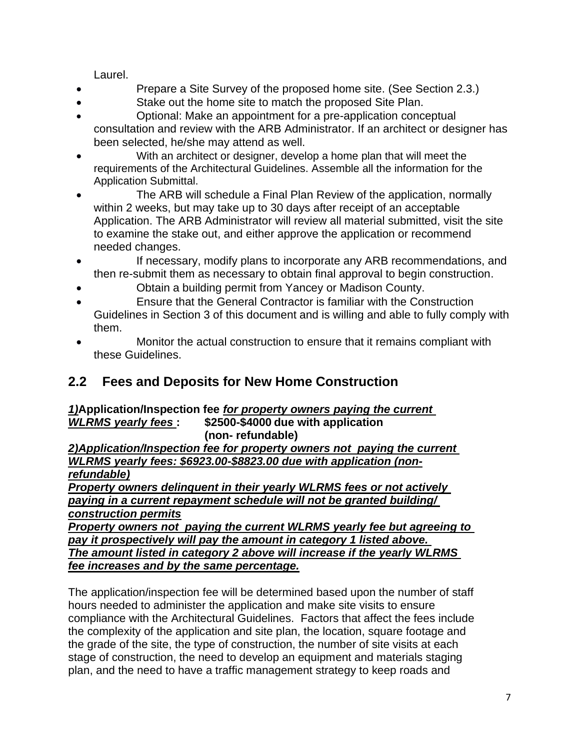Laurel.

- Prepare a Site Survey of the proposed home site. (See Section 2.3.)
- Stake out the home site to match the proposed Site Plan.
- Optional: Make an appointment for a pre-application conceptual consultation and review with the ARB Administrator. If an architect or designer has been selected, he/she may attend as well.
- With an architect or designer, develop a home plan that will meet the requirements of the Architectural Guidelines. Assemble all the information for the Application Submittal.
- The ARB will schedule a Final Plan Review of the application, normally within 2 weeks, but may take up to 30 days after receipt of an acceptable Application. The ARB Administrator will review all material submitted, visit the site to examine the stake out, and either approve the application or recommend needed changes.
- If necessary, modify plans to incorporate any ARB recommendations, and then re-submit them as necessary to obtain final approval to begin construction.
- Obtain a building permit from Yancey or Madison County.
- Ensure that the General Contractor is familiar with the Construction Guidelines in Section 3 of this document and is willing and able to fully comply with them.
- Monitor the actual construction to ensure that it remains compliant with these Guidelines.

# **2.2 Fees and Deposits for New Home Construction**

*1)***Application/Inspection fee** *for property owners paying the current WLRMS yearly fees* **: \$2500-\$4000 due with application (non- refundable)**

*2)Application/Inspection fee for property owners not paying the current WLRMS yearly fees: \$6923.00-\$8823.00 due with application (nonrefundable)*

*Property owners delinquent in their yearly WLRMS fees or not actively paying in a current repayment schedule will not be granted building/ construction permits*

*Property owners not paying the current WLRMS yearly fee but agreeing to pay it prospectively will pay the amount in category 1 listed above. The amount listed in category 2 above will increase if the yearly WLRMS fee increases and by the same percentage.*

The application/inspection fee will be determined based upon the number of staff hours needed to administer the application and make site visits to ensure compliance with the Architectural Guidelines. Factors that affect the fees include the complexity of the application and site plan, the location, square footage and the grade of the site, the type of construction, the number of site visits at each stage of construction, the need to develop an equipment and materials staging plan, and the need to have a traffic management strategy to keep roads and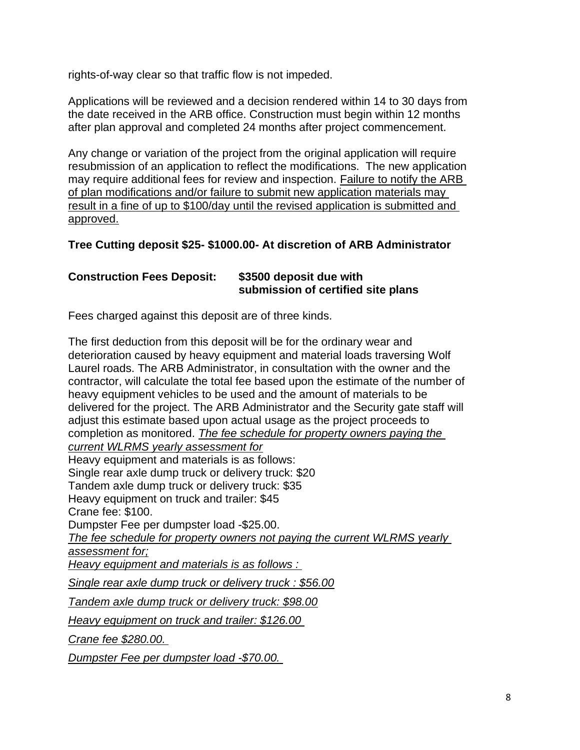rights-of-way clear so that traffic flow is not impeded.

Applications will be reviewed and a decision rendered within 14 to 30 days from the date received in the ARB office. Construction must begin within 12 months after plan approval and completed 24 months after project commencement.

Any change or variation of the project from the original application will require resubmission of an application to reflect the modifications. The new application may require additional fees for review and inspection. Failure to notify the ARB of plan modifications and/or failure to submit new application materials may result in a fine of up to \$100/day until the revised application is submitted and approved.

#### **Tree Cutting deposit \$25- \$1000.00- At discretion of ARB Administrator**

#### **Construction Fees Deposit: \$3500 deposit due with submission of certified site plans**

Fees charged against this deposit are of three kinds.

The first deduction from this deposit will be for the ordinary wear and deterioration caused by heavy equipment and material loads traversing Wolf Laurel roads. The ARB Administrator, in consultation with the owner and the contractor, will calculate the total fee based upon the estimate of the number of heavy equipment vehicles to be used and the amount of materials to be delivered for the project. The ARB Administrator and the Security gate staff will adjust this estimate based upon actual usage as the project proceeds to completion as monitored. *The fee schedule for property owners paying the current WLRMS yearly assessment for* Heavy equipment and materials is as follows: Single rear axle dump truck or delivery truck: \$20 Tandem axle dump truck or delivery truck: \$35 Heavy equipment on truck and trailer: \$45 Crane fee: \$100. Dumpster Fee per dumpster load -\$25.00. *The fee schedule for property owners not paying the current WLRMS yearly assessment for; Heavy equipment and materials is as follows : Single rear axle dump truck or delivery truck : \$56.00 Tandem axle dump truck or delivery truck: \$98.00 Heavy equipment on truck and trailer: \$126.00 Crane fee \$280.00.* 

*Dumpster Fee per dumpster load -\$70.00.*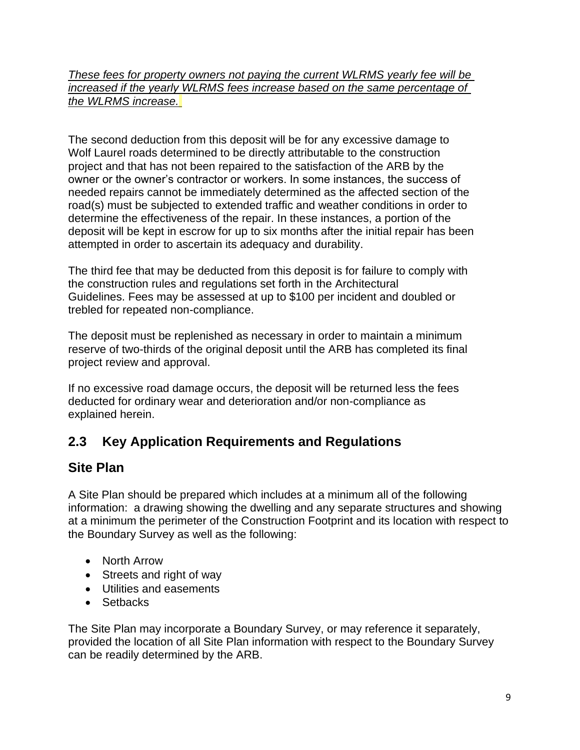#### *These fees for property owners not paying the current WLRMS yearly fee will be increased if the yearly WLRMS fees increase based on the same percentage of the WLRMS increase.*

The second deduction from this deposit will be for any excessive damage to Wolf Laurel roads determined to be directly attributable to the construction project and that has not been repaired to the satisfaction of the ARB by the owner or the owner's contractor or workers. In some instances, the success of needed repairs cannot be immediately determined as the affected section of the road(s) must be subjected to extended traffic and weather conditions in order to determine the effectiveness of the repair. In these instances, a portion of the deposit will be kept in escrow for up to six months after the initial repair has been attempted in order to ascertain its adequacy and durability.

The third fee that may be deducted from this deposit is for failure to comply with the construction rules and regulations set forth in the Architectural Guidelines. Fees may be assessed at up to \$100 per incident and doubled or trebled for repeated non-compliance.

The deposit must be replenished as necessary in order to maintain a minimum reserve of two-thirds of the original deposit until the ARB has completed its final project review and approval.

If no excessive road damage occurs, the deposit will be returned less the fees deducted for ordinary wear and deterioration and/or non-compliance as explained herein.

# **2.3 Key Application Requirements and Regulations**

#### **Site Plan**

A Site Plan should be prepared which includes at a minimum all of the following information: a drawing showing the dwelling and any separate structures and showing at a minimum the perimeter of the Construction Footprint and its location with respect to the Boundary Survey as well as the following:

- North Arrow
- Streets and right of way
- Utilities and easements
- Setbacks

The Site Plan may incorporate a Boundary Survey, or may reference it separately, provided the location of all Site Plan information with respect to the Boundary Survey can be readily determined by the ARB.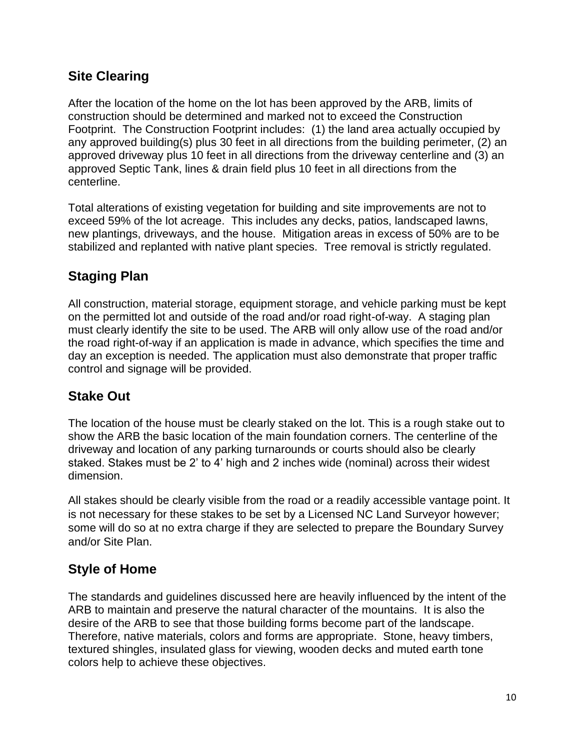#### **Site Clearing**

After the location of the home on the lot has been approved by the ARB, limits of construction should be determined and marked not to exceed the Construction Footprint. The Construction Footprint includes: (1) the land area actually occupied by any approved building(s) plus 30 feet in all directions from the building perimeter, (2) an approved driveway plus 10 feet in all directions from the driveway centerline and (3) an approved Septic Tank, lines & drain field plus 10 feet in all directions from the centerline.

Total alterations of existing vegetation for building and site improvements are not to exceed 59% of the lot acreage. This includes any decks, patios, landscaped lawns, new plantings, driveways, and the house. Mitigation areas in excess of 50% are to be stabilized and replanted with native plant species. Tree removal is strictly regulated.

# **Staging Plan**

All construction, material storage, equipment storage, and vehicle parking must be kept on the permitted lot and outside of the road and/or road right-of-way. A staging plan must clearly identify the site to be used. The ARB will only allow use of the road and/or the road right-of-way if an application is made in advance, which specifies the time and day an exception is needed. The application must also demonstrate that proper traffic control and signage will be provided.

#### **Stake Out**

The location of the house must be clearly staked on the lot. This is a rough stake out to show the ARB the basic location of the main foundation corners. The centerline of the driveway and location of any parking turnarounds or courts should also be clearly staked. Stakes must be 2' to 4' high and 2 inches wide (nominal) across their widest dimension.

All stakes should be clearly visible from the road or a readily accessible vantage point. It is not necessary for these stakes to be set by a Licensed NC Land Surveyor however; some will do so at no extra charge if they are selected to prepare the Boundary Survey and/or Site Plan.

#### **Style of Home**

The standards and guidelines discussed here are heavily influenced by the intent of the ARB to maintain and preserve the natural character of the mountains. It is also the desire of the ARB to see that those building forms become part of the landscape. Therefore, native materials, colors and forms are appropriate. Stone, heavy timbers, textured shingles, insulated glass for viewing, wooden decks and muted earth tone colors help to achieve these objectives.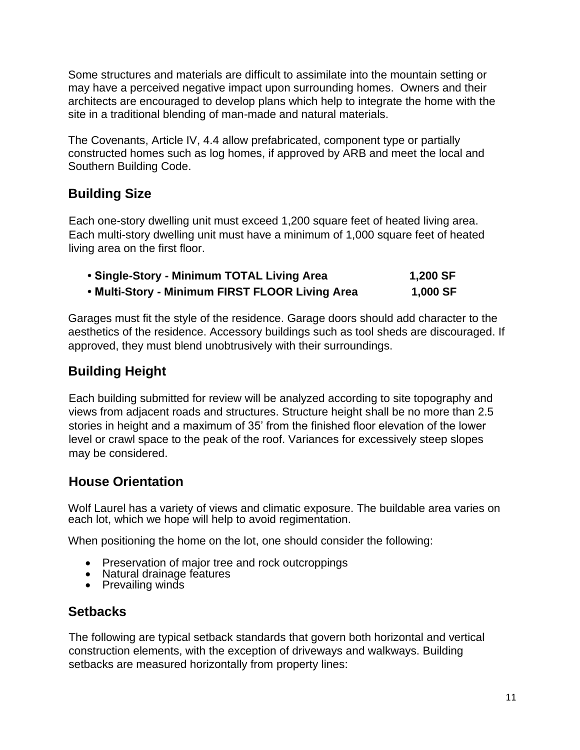Some structures and materials are difficult to assimilate into the mountain setting or may have a perceived negative impact upon surrounding homes. Owners and their architects are encouraged to develop plans which help to integrate the home with the site in a traditional blending of man-made and natural materials.

The Covenants, Article IV, 4.4 allow prefabricated, component type or partially constructed homes such as log homes, if approved by ARB and meet the local and Southern Building Code.

#### **Building Size**

Each one-story dwelling unit must exceed 1,200 square feet of heated living area. Each multi-story dwelling unit must have a minimum of 1,000 square feet of heated living area on the first floor.

| • Single-Story - Minimum TOTAL Living Area      | 1,200 SF |
|-------------------------------------------------|----------|
| . Multi-Story - Minimum FIRST FLOOR Living Area | 1,000 SF |

Garages must fit the style of the residence. Garage doors should add character to the aesthetics of the residence. Accessory buildings such as tool sheds are discouraged. If approved, they must blend unobtrusively with their surroundings.

#### **Building Height**

Each building submitted for review will be analyzed according to site topography and views from adjacent roads and structures. Structure height shall be no more than 2.5 stories in height and a maximum of 35' from the finished floor elevation of the lower level or crawl space to the peak of the roof. Variances for excessively steep slopes may be considered.

#### **House Orientation**

Wolf Laurel has a variety of views and climatic exposure. The buildable area varies on each lot, which we hope will help to avoid regimentation.

When positioning the home on the lot, one should consider the following:

- Preservation of major tree and rock outcroppings
- Natural drainage features
- Prevailing winds

#### **Setbacks**

The following are typical setback standards that govern both horizontal and vertical construction elements, with the exception of driveways and walkways. Building setbacks are measured horizontally from property lines: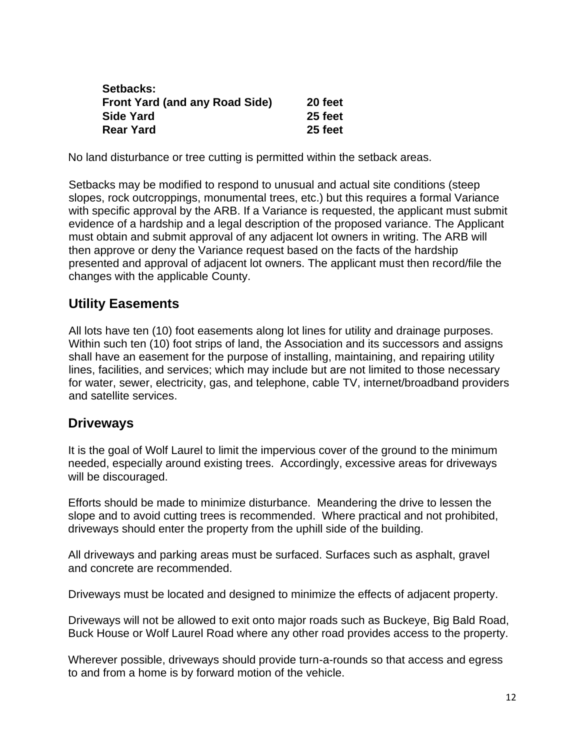| Setbacks:                             |         |
|---------------------------------------|---------|
| <b>Front Yard (and any Road Side)</b> | 20 feet |
| <b>Side Yard</b>                      | 25 feet |
| <b>Rear Yard</b>                      | 25 feet |

No land disturbance or tree cutting is permitted within the setback areas.

Setbacks may be modified to respond to unusual and actual site conditions (steep slopes, rock outcroppings, monumental trees, etc.) but this requires a formal Variance with specific approval by the ARB. If a Variance is requested, the applicant must submit evidence of a hardship and a legal description of the proposed variance. The Applicant must obtain and submit approval of any adjacent lot owners in writing. The ARB will then approve or deny the Variance request based on the facts of the hardship presented and approval of adjacent lot owners. The applicant must then record/file the changes with the applicable County.

#### **Utility Easements**

All lots have ten (10) foot easements along lot lines for utility and drainage purposes. Within such ten (10) foot strips of land, the Association and its successors and assigns shall have an easement for the purpose of installing, maintaining, and repairing utility lines, facilities, and services; which may include but are not limited to those necessary for water, sewer, electricity, gas, and telephone, cable TV, internet/broadband providers and satellite services.

#### **Driveways**

It is the goal of Wolf Laurel to limit the impervious cover of the ground to the minimum needed, especially around existing trees. Accordingly, excessive areas for driveways will be discouraged.

Efforts should be made to minimize disturbance. Meandering the drive to lessen the slope and to avoid cutting trees is recommended. Where practical and not prohibited, driveways should enter the property from the uphill side of the building.

All driveways and parking areas must be surfaced. Surfaces such as asphalt, gravel and concrete are recommended.

Driveways must be located and designed to minimize the effects of adjacent property.

Driveways will not be allowed to exit onto major roads such as Buckeye, Big Bald Road, Buck House or Wolf Laurel Road where any other road provides access to the property.

Wherever possible, driveways should provide turn-a-rounds so that access and egress to and from a home is by forward motion of the vehicle.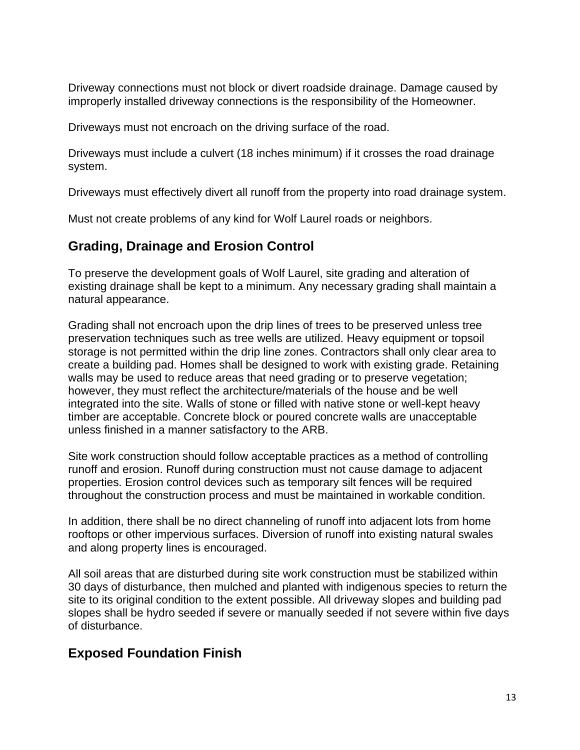Driveway connections must not block or divert roadside drainage. Damage caused by improperly installed driveway connections is the responsibility of the Homeowner.

Driveways must not encroach on the driving surface of the road.

Driveways must include a culvert (18 inches minimum) if it crosses the road drainage system.

Driveways must effectively divert all runoff from the property into road drainage system.

Must not create problems of any kind for Wolf Laurel roads or neighbors.

#### **Grading, Drainage and Erosion Control**

To preserve the development goals of Wolf Laurel, site grading and alteration of existing drainage shall be kept to a minimum. Any necessary grading shall maintain a natural appearance.

Grading shall not encroach upon the drip lines of trees to be preserved unless tree preservation techniques such as tree wells are utilized. Heavy equipment or topsoil storage is not permitted within the drip line zones. Contractors shall only clear area to create a building pad. Homes shall be designed to work with existing grade. Retaining walls may be used to reduce areas that need grading or to preserve vegetation; however, they must reflect the architecture/materials of the house and be well integrated into the site. Walls of stone or filled with native stone or well-kept heavy timber are acceptable. Concrete block or poured concrete walls are unacceptable unless finished in a manner satisfactory to the ARB.

Site work construction should follow acceptable practices as a method of controlling runoff and erosion. Runoff during construction must not cause damage to adjacent properties. Erosion control devices such as temporary silt fences will be required throughout the construction process and must be maintained in workable condition.

In addition, there shall be no direct channeling of runoff into adjacent lots from home rooftops or other impervious surfaces. Diversion of runoff into existing natural swales and along property lines is encouraged.

All soil areas that are disturbed during site work construction must be stabilized within 30 days of disturbance, then mulched and planted with indigenous species to return the site to its original condition to the extent possible. All driveway slopes and building pad slopes shall be hydro seeded if severe or manually seeded if not severe within five days of disturbance.

# **Exposed Foundation Finish**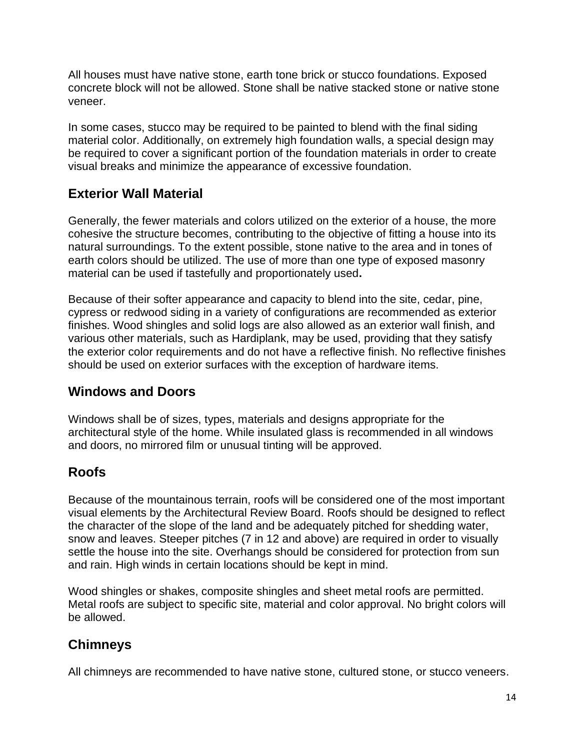All houses must have native stone, earth tone brick or stucco foundations. Exposed concrete block will not be allowed. Stone shall be native stacked stone or native stone veneer.

In some cases, stucco may be required to be painted to blend with the final siding material color. Additionally, on extremely high foundation walls, a special design may be required to cover a significant portion of the foundation materials in order to create visual breaks and minimize the appearance of excessive foundation.

#### **Exterior Wall Material**

Generally, the fewer materials and colors utilized on the exterior of a house, the more cohesive the structure becomes, contributing to the objective of fitting a house into its natural surroundings. To the extent possible, stone native to the area and in tones of earth colors should be utilized. The use of more than one type of exposed masonry material can be used if tastefully and proportionately used**.**

Because of their softer appearance and capacity to blend into the site, cedar, pine, cypress or redwood siding in a variety of configurations are recommended as exterior finishes. Wood shingles and solid logs are also allowed as an exterior wall finish, and various other materials, such as Hardiplank, may be used, providing that they satisfy the exterior color requirements and do not have a reflective finish. No reflective finishes should be used on exterior surfaces with the exception of hardware items.

#### **Windows and Doors**

Windows shall be of sizes, types, materials and designs appropriate for the architectural style of the home. While insulated glass is recommended in all windows and doors, no mirrored film or unusual tinting will be approved.

#### **Roofs**

Because of the mountainous terrain, roofs will be considered one of the most important visual elements by the Architectural Review Board. Roofs should be designed to reflect the character of the slope of the land and be adequately pitched for shedding water, snow and leaves. Steeper pitches (7 in 12 and above) are required in order to visually settle the house into the site. Overhangs should be considered for protection from sun and rain. High winds in certain locations should be kept in mind.

Wood shingles or shakes, composite shingles and sheet metal roofs are permitted. Metal roofs are subject to specific site, material and color approval. No bright colors will be allowed.

#### **Chimneys**

All chimneys are recommended to have native stone, cultured stone, or stucco veneers.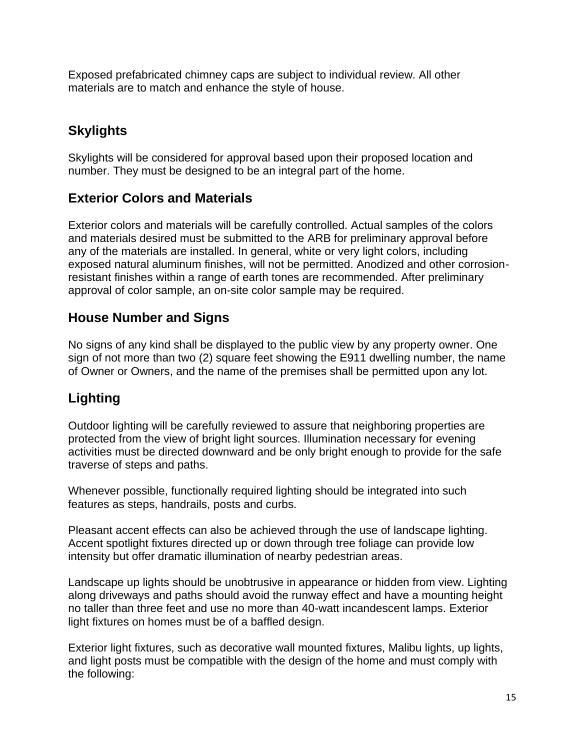Exposed prefabricated chimney caps are subject to individual review. All other materials are to match and enhance the style of house.

## **Skylights**

Skylights will be considered for approval based upon their proposed location and number. They must be designed to be an integral part of the home.

#### **Exterior Colors and Materials**

Exterior colors and materials will be carefully controlled. Actual samples of the colors and materials desired must be submitted to the ARB for preliminary approval before any of the materials are installed. In general, white or very light colors, including exposed natural aluminum finishes, will not be permitted. Anodized and other corrosionresistant finishes within a range of earth tones are recommended. After preliminary approval of color sample, an on-site color sample may be required.

#### **House Number and Signs**

No signs of any kind shall be displayed to the public view by any property owner. One sign of not more than two (2) square feet showing the E911 dwelling number, the name of Owner or Owners, and the name of the premises shall be permitted upon any lot.

#### **Lighting**

Outdoor lighting will be carefully reviewed to assure that neighboring properties are protected from the view of bright light sources. Illumination necessary for evening activities must be directed downward and be only bright enough to provide for the safe traverse of steps and paths.

Whenever possible, functionally required lighting should be integrated into such features as steps, handrails, posts and curbs.

Pleasant accent effects can also be achieved through the use of landscape lighting. Accent spotlight fixtures directed up or down through tree foliage can provide low intensity but offer dramatic illumination of nearby pedestrian areas.

Landscape up lights should be unobtrusive in appearance or hidden from view. Lighting along driveways and paths should avoid the runway effect and have a mounting height no taller than three feet and use no more than 40-watt incandescent lamps. Exterior light fixtures on homes must be of a baffled design.

Exterior light fixtures, such as decorative wall mounted fixtures, Malibu lights, up lights, and light posts must be compatible with the design of the home and must comply with the following: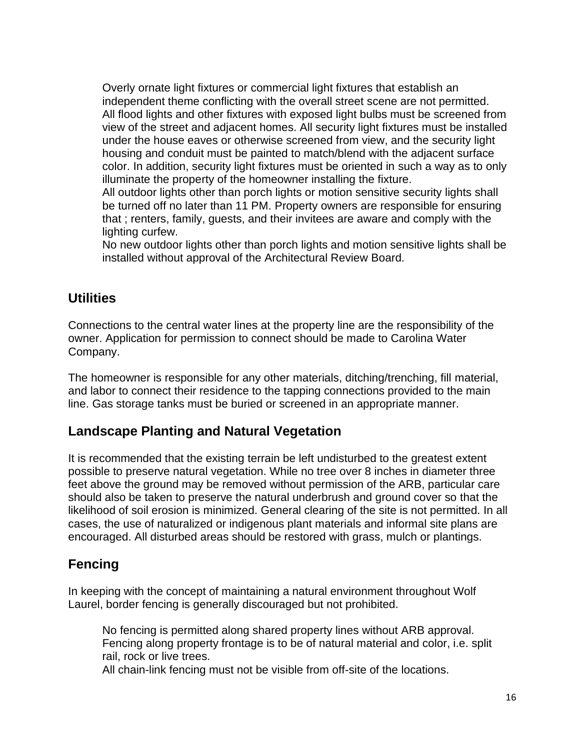Overly ornate light fixtures or commercial light fixtures that establish an independent theme conflicting with the overall street scene are not permitted. All flood lights and other fixtures with exposed light bulbs must be screened from view of the street and adjacent homes. All security light fixtures must be installed under the house eaves or otherwise screened from view, and the security light housing and conduit must be painted to match/blend with the adjacent surface color. In addition, security light fixtures must be oriented in such a way as to only illuminate the property of the homeowner installing the fixture.

All outdoor lights other than porch lights or motion sensitive security lights shall be turned off no later than 11 PM. Property owners are responsible for ensuring that ; renters, family, guests, and their invitees are aware and comply with the lighting curfew.

No new outdoor lights other than porch lights and motion sensitive lights shall be installed without approval of the Architectural Review Board.

#### **Utilities**

Connections to the central water lines at the property line are the responsibility of the owner. Application for permission to connect should be made to Carolina Water Company.

The homeowner is responsible for any other materials, ditching/trenching, fill material, and labor to connect their residence to the tapping connections provided to the main line. Gas storage tanks must be buried or screened in an appropriate manner.

#### **Landscape Planting and Natural Vegetation**

It is recommended that the existing terrain be left undisturbed to the greatest extent possible to preserve natural vegetation. While no tree over 8 inches in diameter three feet above the ground may be removed without permission of the ARB, particular care should also be taken to preserve the natural underbrush and ground cover so that the likelihood of soil erosion is minimized. General clearing of the site is not permitted. In all cases, the use of naturalized or indigenous plant materials and informal site plans are encouraged. All disturbed areas should be restored with grass, mulch or plantings.

#### **Fencing**

In keeping with the concept of maintaining a natural environment throughout Wolf Laurel, border fencing is generally discouraged but not prohibited.

No fencing is permitted along shared property lines without ARB approval. Fencing along property frontage is to be of natural material and color, i.e. split rail, rock or live trees.

All chain-link fencing must not be visible from off-site of the locations.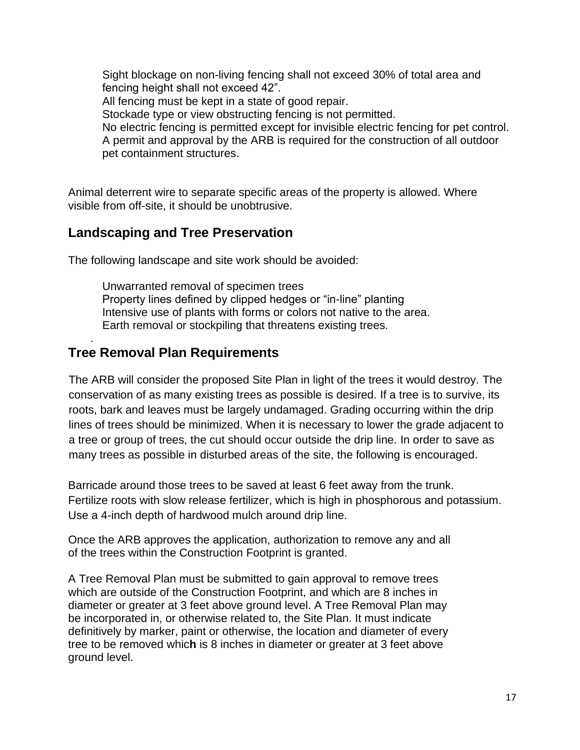Sight blockage on non-living fencing shall not exceed 30% of total area and fencing height shall not exceed 42". All fencing must be kept in a state of good repair. Stockade type or view obstructing fencing is not permitted. No electric fencing is permitted except for invisible electric fencing for pet control. A permit and approval by the ARB is required for the construction of all outdoor pet containment structures.

Animal deterrent wire to separate specific areas of the property is allowed. Where visible from off-site, it should be unobtrusive.

#### **Landscaping and Tree Preservation**

The following landscape and site work should be avoided:

Unwarranted removal of specimen trees Property lines defined by clipped hedges or "in-line" planting Intensive use of plants with forms or colors not native to the area. Earth removal or stockpiling that threatens existing trees.

#### **Tree Removal Plan Requirements**

.

The ARB will consider the proposed Site Plan in light of the trees it would destroy. The conservation of as many existing trees as possible is desired. If a tree is to survive, its roots, bark and leaves must be largely undamaged. Grading occurring within the drip lines of trees should be minimized. When it is necessary to lower the grade adjacent to a tree or group of trees, the cut should occur outside the drip line. In order to save as many trees as possible in disturbed areas of the site, the following is encouraged.

Barricade around those trees to be saved at least 6 feet away from the trunk. Fertilize roots with slow release fertilizer, which is high in phosphorous and potassium. Use a 4-inch depth of hardwood mulch around drip line.

Once the ARB approves the application, authorization to remove any and all of the trees within the Construction Footprint is granted.

A Tree Removal Plan must be submitted to gain approval to remove trees which are outside of the Construction Footprint, and which are 8 inches in diameter or greater at 3 feet above ground level. A Tree Removal Plan may be incorporated in, or otherwise related to, the Site Plan. It must indicate definitively by marker, paint or otherwise, the location and diameter of every tree to be removed whic**h** is 8 inches in diameter or greater at 3 feet above ground level.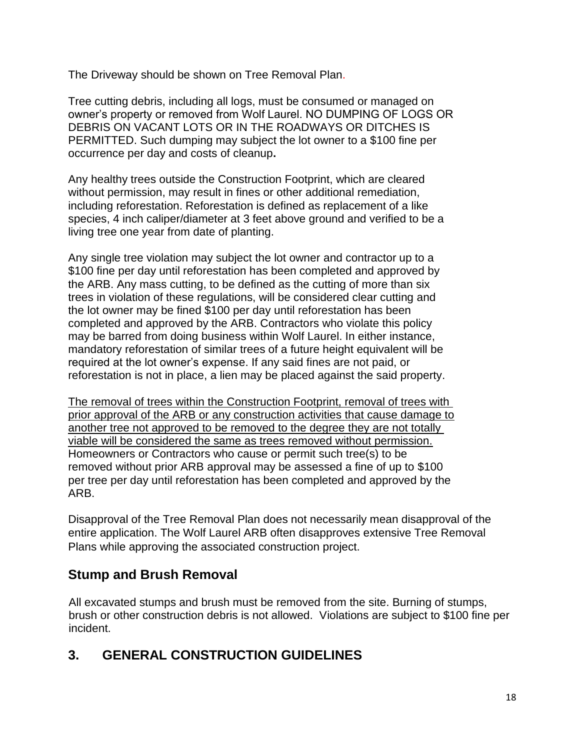The Driveway should be shown on Tree Removal Plan.

Tree cutting debris, including all logs, must be consumed or managed on owner's property or removed from Wolf Laurel. NO DUMPING OF LOGS OR DEBRIS ON VACANT LOTS OR IN THE ROADWAYS OR DITCHES IS PERMITTED. Such dumping may subject the lot owner to a \$100 fine per occurrence per day and costs of cleanup**.**

Any healthy trees outside the Construction Footprint, which are cleared without permission, may result in fines or other additional remediation, including reforestation. Reforestation is defined as replacement of a like species, 4 inch caliper/diameter at 3 feet above ground and verified to be a living tree one year from date of planting.

Any single tree violation may subject the lot owner and contractor up to a \$100 fine per day until reforestation has been completed and approved by the ARB. Any mass cutting, to be defined as the cutting of more than six trees in violation of these regulations, will be considered clear cutting and the lot owner may be fined \$100 per day until reforestation has been completed and approved by the ARB. Contractors who violate this policy may be barred from doing business within Wolf Laurel. In either instance, mandatory reforestation of similar trees of a future height equivalent will be required at the lot owner's expense. If any said fines are not paid, or reforestation is not in place, a lien may be placed against the said property.

The removal of trees within the Construction Footprint, removal of trees with prior approval of the ARB or any construction activities that cause damage to another tree not approved to be removed to the degree they are not totally viable will be considered the same as trees removed without permission. Homeowners or Contractors who cause or permit such tree(s) to be removed without prior ARB approval may be assessed a fine of up to \$100 per tree per day until reforestation has been completed and approved by the ARB.

Disapproval of the Tree Removal Plan does not necessarily mean disapproval of the entire application. The Wolf Laurel ARB often disapproves extensive Tree Removal Plans while approving the associated construction project.

#### **Stump and Brush Removal**

All excavated stumps and brush must be removed from the site. Burning of stumps, brush or other construction debris is not allowed. Violations are subject to \$100 fine per incident.

# **3. GENERAL CONSTRUCTION GUIDELINES**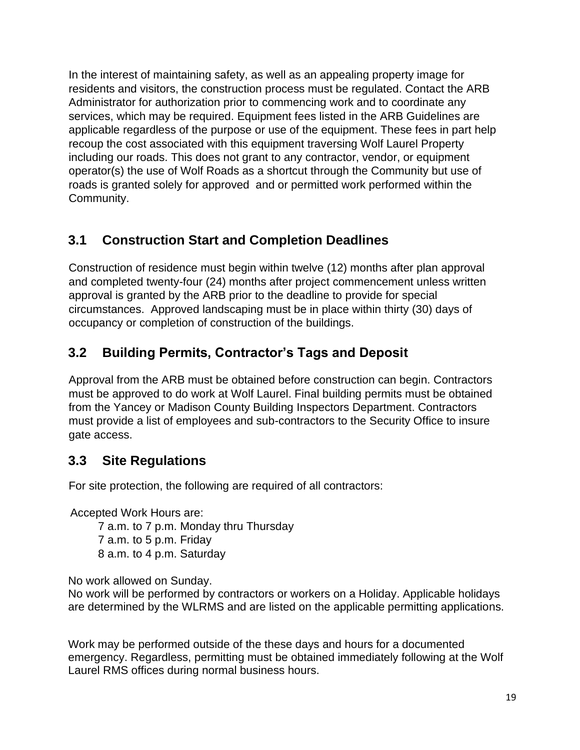In the interest of maintaining safety, as well as an appealing property image for residents and visitors, the construction process must be regulated. Contact the ARB Administrator for authorization prior to commencing work and to coordinate any services, which may be required. Equipment fees listed in the ARB Guidelines are applicable regardless of the purpose or use of the equipment. These fees in part help recoup the cost associated with this equipment traversing Wolf Laurel Property including our roads. This does not grant to any contractor, vendor, or equipment operator(s) the use of Wolf Roads as a shortcut through the Community but use of roads is granted solely for approved and or permitted work performed within the Community.

#### **3.1 Construction Start and Completion Deadlines**

Construction of residence must begin within twelve (12) months after plan approval and completed twenty-four (24) months after project commencement unless written approval is granted by the ARB prior to the deadline to provide for special circumstances. Approved landscaping must be in place within thirty (30) days of occupancy or completion of construction of the buildings.

# **3.2 Building Permits, Contractor's Tags and Deposit**

Approval from the ARB must be obtained before construction can begin. Contractors must be approved to do work at Wolf Laurel. Final building permits must be obtained from the Yancey or Madison County Building Inspectors Department. Contractors must provide a list of employees and sub-contractors to the Security Office to insure gate access.

#### **3.3 Site Regulations**

For site protection, the following are required of all contractors:

Accepted Work Hours are:

7 a.m. to 7 p.m. Monday thru Thursday

7 a.m. to 5 p.m. Friday

8 a.m. to 4 p.m. Saturday

No work allowed on Sunday.

No work will be performed by contractors or workers on a Holiday. Applicable holidays are determined by the WLRMS and are listed on the applicable permitting applications.

Work may be performed outside of the these days and hours for a documented emergency. Regardless, permitting must be obtained immediately following at the Wolf Laurel RMS offices during normal business hours.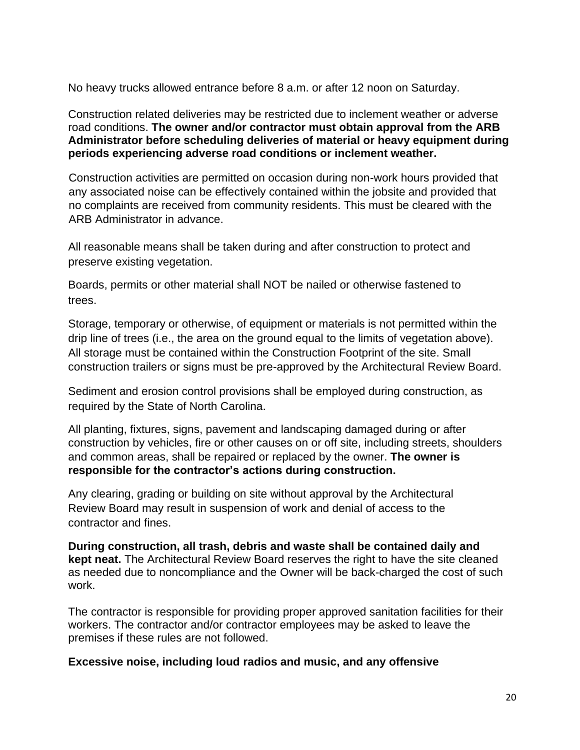No heavy trucks allowed entrance before 8 a.m. or after 12 noon on Saturday.

Construction related deliveries may be restricted due to inclement weather or adverse road conditions. **The owner and/or contractor must obtain approval from the ARB Administrator before scheduling deliveries of material or heavy equipment during periods experiencing adverse road conditions or inclement weather.**

Construction activities are permitted on occasion during non-work hours provided that any associated noise can be effectively contained within the jobsite and provided that no complaints are received from community residents. This must be cleared with the ARB Administrator in advance.

All reasonable means shall be taken during and after construction to protect and preserve existing vegetation.

Boards, permits or other material shall NOT be nailed or otherwise fastened to trees.

Storage, temporary or otherwise, of equipment or materials is not permitted within the drip line of trees (i.e., the area on the ground equal to the limits of vegetation above). All storage must be contained within the Construction Footprint of the site. Small construction trailers or signs must be pre-approved by the Architectural Review Board.

Sediment and erosion control provisions shall be employed during construction, as required by the State of North Carolina.

All planting, fixtures, signs, pavement and landscaping damaged during or after construction by vehicles, fire or other causes on or off site, including streets, shoulders and common areas, shall be repaired or replaced by the owner. **The owner is responsible for the contractor's actions during construction.** 

Any clearing, grading or building on site without approval by the Architectural Review Board may result in suspension of work and denial of access to the contractor and fines.

**During construction, all trash, debris and waste shall be contained daily and kept neat.** The Architectural Review Board reserves the right to have the site cleaned as needed due to noncompliance and the Owner will be back-charged the cost of such work.

The contractor is responsible for providing proper approved sanitation facilities for their workers. The contractor and/or contractor employees may be asked to leave the premises if these rules are not followed.

**Excessive noise, including loud radios and music, and any offensive**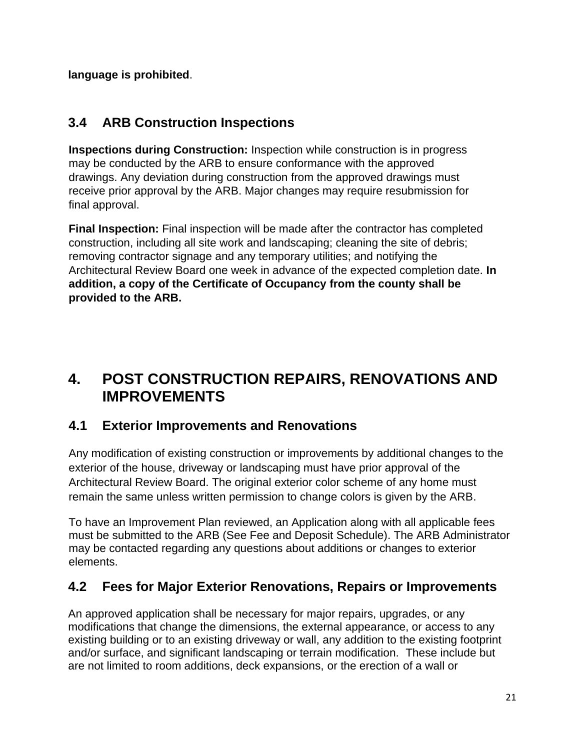**language is prohibited**.

#### **3.4 ARB Construction Inspections**

**Inspections during Construction:** Inspection while construction is in progress may be conducted by the ARB to ensure conformance with the approved drawings. Any deviation during construction from the approved drawings must receive prior approval by the ARB. Major changes may require resubmission for final approval.

**Final Inspection:** Final inspection will be made after the contractor has completed construction, including all site work and landscaping; cleaning the site of debris; removing contractor signage and any temporary utilities; and notifying the Architectural Review Board one week in advance of the expected completion date. **In addition, a copy of the Certificate of Occupancy from the county shall be provided to the ARB.**

# **4. POST CONSTRUCTION REPAIRS, RENOVATIONS AND IMPROVEMENTS**

#### **4.1 Exterior Improvements and Renovations**

Any modification of existing construction or improvements by additional changes to the exterior of the house, driveway or landscaping must have prior approval of the Architectural Review Board. The original exterior color scheme of any home must remain the same unless written permission to change colors is given by the ARB.

To have an Improvement Plan reviewed, an Application along with all applicable fees must be submitted to the ARB (See Fee and Deposit Schedule). The ARB Administrator may be contacted regarding any questions about additions or changes to exterior elements.

# **4.2 Fees for Major Exterior Renovations, Repairs or Improvements**

An approved application shall be necessary for major repairs, upgrades, or any modifications that change the dimensions, the external appearance, or access to any existing building or to an existing driveway or wall, any addition to the existing footprint and/or surface, and significant landscaping or terrain modification. These include but are not limited to room additions, deck expansions, or the erection of a wall or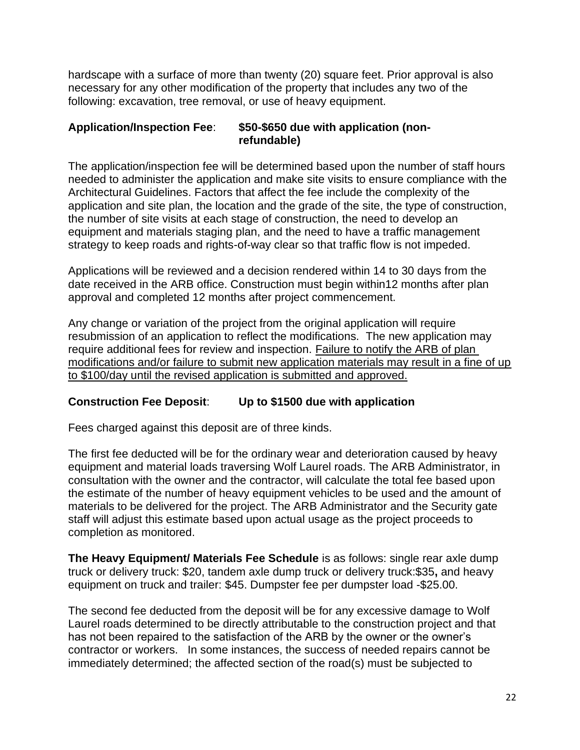hardscape with a surface of more than twenty (20) square feet. Prior approval is also necessary for any other modification of the property that includes any two of the following: excavation, tree removal, or use of heavy equipment.

#### **Application/Inspection Fee**: **\$50-\$650 due with application (nonrefundable)**

The application/inspection fee will be determined based upon the number of staff hours needed to administer the application and make site visits to ensure compliance with the Architectural Guidelines. Factors that affect the fee include the complexity of the application and site plan, the location and the grade of the site, the type of construction, the number of site visits at each stage of construction, the need to develop an equipment and materials staging plan, and the need to have a traffic management strategy to keep roads and rights-of-way clear so that traffic flow is not impeded.

Applications will be reviewed and a decision rendered within 14 to 30 days from the date received in the ARB office. Construction must begin within12 months after plan approval and completed 12 months after project commencement.

Any change or variation of the project from the original application will require resubmission of an application to reflect the modifications. The new application may require additional fees for review and inspection. Failure to notify the ARB of plan modifications and/or failure to submit new application materials may result in a fine of up to \$100/day until the revised application is submitted and approved.

#### **Construction Fee Deposit**: **Up to \$1500 due with application**

Fees charged against this deposit are of three kinds.

The first fee deducted will be for the ordinary wear and deterioration caused by heavy equipment and material loads traversing Wolf Laurel roads. The ARB Administrator, in consultation with the owner and the contractor, will calculate the total fee based upon the estimate of the number of heavy equipment vehicles to be used and the amount of materials to be delivered for the project. The ARB Administrator and the Security gate staff will adjust this estimate based upon actual usage as the project proceeds to completion as monitored.

**The Heavy Equipment/ Materials Fee Schedule** is as follows: single rear axle dump truck or delivery truck: \$20, tandem axle dump truck or delivery truck:\$35**,** and heavy equipment on truck and trailer: \$45. Dumpster fee per dumpster load -\$25.00.

The second fee deducted from the deposit will be for any excessive damage to Wolf Laurel roads determined to be directly attributable to the construction project and that has not been repaired to the satisfaction of the ARB by the owner or the owner's contractor or workers. In some instances, the success of needed repairs cannot be immediately determined; the affected section of the road(s) must be subjected to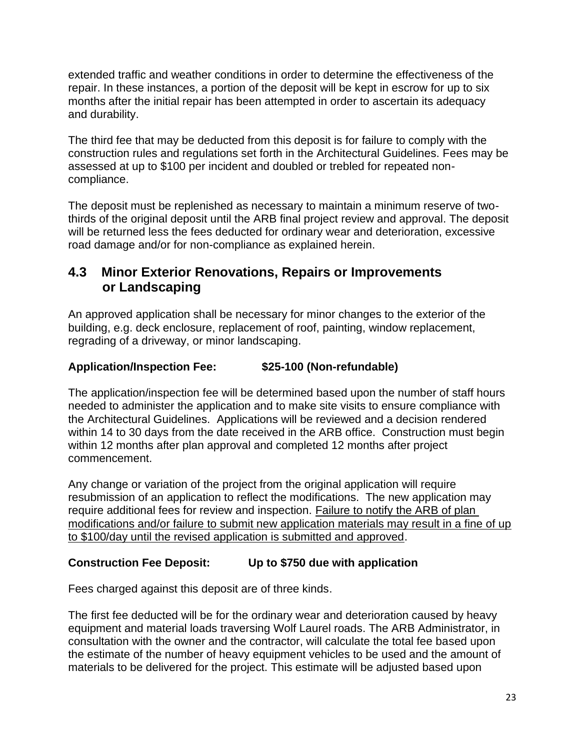extended traffic and weather conditions in order to determine the effectiveness of the repair. In these instances, a portion of the deposit will be kept in escrow for up to six months after the initial repair has been attempted in order to ascertain its adequacy and durability.

The third fee that may be deducted from this deposit is for failure to comply with the construction rules and regulations set forth in the Architectural Guidelines. Fees may be assessed at up to \$100 per incident and doubled or trebled for repeated noncompliance.

The deposit must be replenished as necessary to maintain a minimum reserve of twothirds of the original deposit until the ARB final project review and approval. The deposit will be returned less the fees deducted for ordinary wear and deterioration, excessive road damage and/or for non-compliance as explained herein.

#### **4.3 Minor Exterior Renovations, Repairs or Improvements or Landscaping**

An approved application shall be necessary for minor changes to the exterior of the building, e.g. deck enclosure, replacement of roof, painting, window replacement, regrading of a driveway, or minor landscaping.

#### **Application/Inspection Fee: \$25-100 (Non-refundable)**

The application/inspection fee will be determined based upon the number of staff hours needed to administer the application and to make site visits to ensure compliance with the Architectural Guidelines. Applications will be reviewed and a decision rendered within 14 to 30 days from the date received in the ARB office. Construction must begin within 12 months after plan approval and completed 12 months after project commencement.

Any change or variation of the project from the original application will require resubmission of an application to reflect the modifications. The new application may require additional fees for review and inspection. Failure to notify the ARB of plan modifications and/or failure to submit new application materials may result in a fine of up to \$100/day until the revised application is submitted and approved.

#### **Construction Fee Deposit: Up to \$750 due with application**

Fees charged against this deposit are of three kinds.

The first fee deducted will be for the ordinary wear and deterioration caused by heavy equipment and material loads traversing Wolf Laurel roads. The ARB Administrator, in consultation with the owner and the contractor, will calculate the total fee based upon the estimate of the number of heavy equipment vehicles to be used and the amount of materials to be delivered for the project. This estimate will be adjusted based upon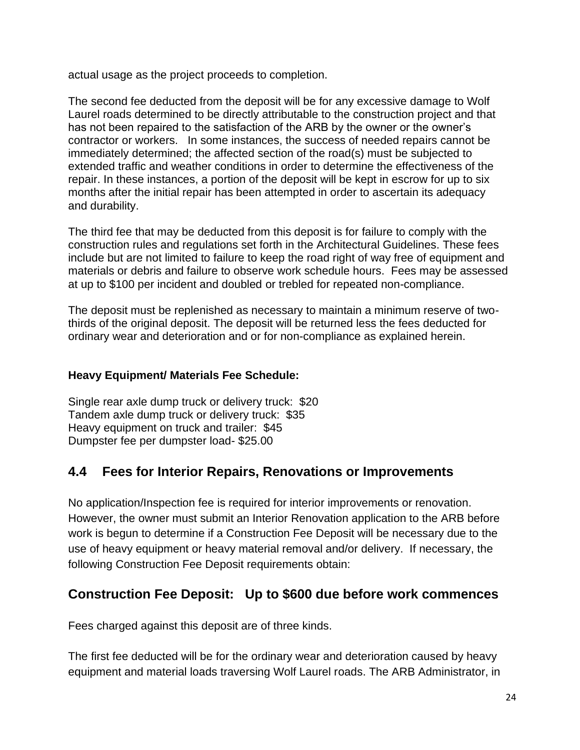actual usage as the project proceeds to completion.

The second fee deducted from the deposit will be for any excessive damage to Wolf Laurel roads determined to be directly attributable to the construction project and that has not been repaired to the satisfaction of the ARB by the owner or the owner's contractor or workers. In some instances, the success of needed repairs cannot be immediately determined; the affected section of the road(s) must be subjected to extended traffic and weather conditions in order to determine the effectiveness of the repair. In these instances, a portion of the deposit will be kept in escrow for up to six months after the initial repair has been attempted in order to ascertain its adequacy and durability.

The third fee that may be deducted from this deposit is for failure to comply with the construction rules and regulations set forth in the Architectural Guidelines. These fees include but are not limited to failure to keep the road right of way free of equipment and materials or debris and failure to observe work schedule hours. Fees may be assessed at up to \$100 per incident and doubled or trebled for repeated non-compliance.

The deposit must be replenished as necessary to maintain a minimum reserve of twothirds of the original deposit. The deposit will be returned less the fees deducted for ordinary wear and deterioration and or for non-compliance as explained herein.

#### **Heavy Equipment/ Materials Fee Schedule:**

Single rear axle dump truck or delivery truck: \$20 Tandem axle dump truck or delivery truck: \$35 Heavy equipment on truck and trailer: \$45 Dumpster fee per dumpster load- \$25.00

#### **4.4 Fees for Interior Repairs, Renovations or Improvements**

No application/Inspection fee is required for interior improvements or renovation. However, the owner must submit an Interior Renovation application to the ARB before work is begun to determine if a Construction Fee Deposit will be necessary due to the use of heavy equipment or heavy material removal and/or delivery. If necessary, the following Construction Fee Deposit requirements obtain:

#### **Construction Fee Deposit: Up to \$600 due before work commences**

Fees charged against this deposit are of three kinds.

The first fee deducted will be for the ordinary wear and deterioration caused by heavy equipment and material loads traversing Wolf Laurel roads. The ARB Administrator, in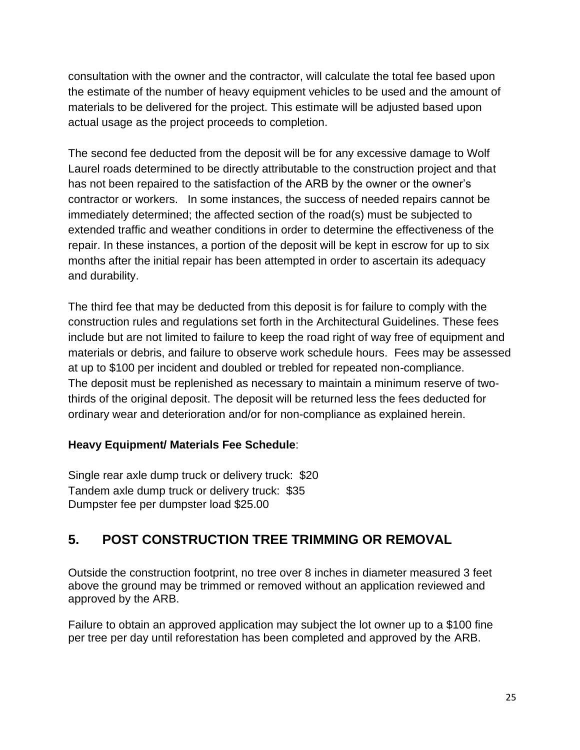consultation with the owner and the contractor, will calculate the total fee based upon the estimate of the number of heavy equipment vehicles to be used and the amount of materials to be delivered for the project. This estimate will be adjusted based upon actual usage as the project proceeds to completion.

The second fee deducted from the deposit will be for any excessive damage to Wolf Laurel roads determined to be directly attributable to the construction project and that has not been repaired to the satisfaction of the ARB by the owner or the owner's contractor or workers. In some instances, the success of needed repairs cannot be immediately determined; the affected section of the road(s) must be subjected to extended traffic and weather conditions in order to determine the effectiveness of the repair. In these instances, a portion of the deposit will be kept in escrow for up to six months after the initial repair has been attempted in order to ascertain its adequacy and durability.

The third fee that may be deducted from this deposit is for failure to comply with the construction rules and regulations set forth in the Architectural Guidelines. These fees include but are not limited to failure to keep the road right of way free of equipment and materials or debris, and failure to observe work schedule hours. Fees may be assessed at up to \$100 per incident and doubled or trebled for repeated non-compliance. The deposit must be replenished as necessary to maintain a minimum reserve of twothirds of the original deposit. The deposit will be returned less the fees deducted for ordinary wear and deterioration and/or for non-compliance as explained herein.

#### **Heavy Equipment/ Materials Fee Schedule**:

Single rear axle dump truck or delivery truck: \$20 Tandem axle dump truck or delivery truck: \$35 Dumpster fee per dumpster load \$25.00

#### **5. POST CONSTRUCTION TREE TRIMMING OR REMOVAL**

Outside the construction footprint, no tree over 8 inches in diameter measured 3 feet above the ground may be trimmed or removed without an application reviewed and approved by the ARB.

Failure to obtain an approved application may subject the lot owner up to a \$100 fine per tree per day until reforestation has been completed and approved by the ARB.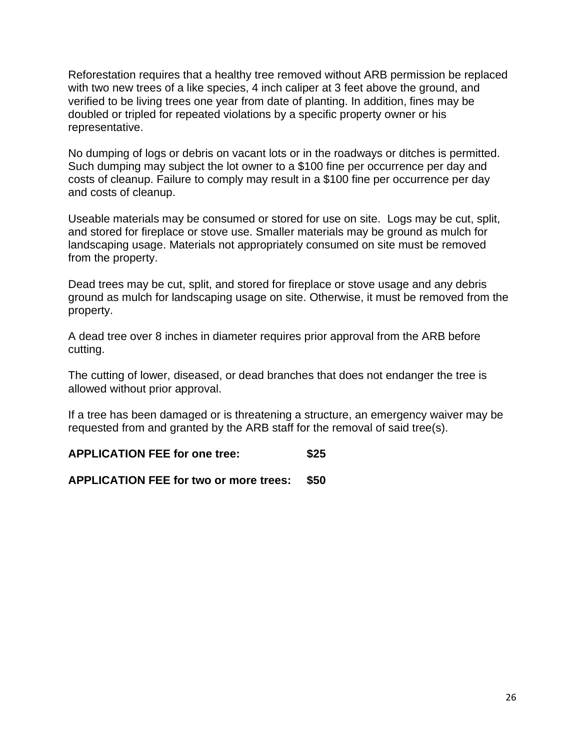Reforestation requires that a healthy tree removed without ARB permission be replaced with two new trees of a like species, 4 inch caliper at 3 feet above the ground, and verified to be living trees one year from date of planting. In addition, fines may be doubled or tripled for repeated violations by a specific property owner or his representative.

No dumping of logs or debris on vacant lots or in the roadways or ditches is permitted. Such dumping may subject the lot owner to a \$100 fine per occurrence per day and costs of cleanup. Failure to comply may result in a \$100 fine per occurrence per day and costs of cleanup.

Useable materials may be consumed or stored for use on site. Logs may be cut, split, and stored for fireplace or stove use. Smaller materials may be ground as mulch for landscaping usage. Materials not appropriately consumed on site must be removed from the property.

Dead trees may be cut, split, and stored for fireplace or stove usage and any debris ground as mulch for landscaping usage on site. Otherwise, it must be removed from the property.

A dead tree over 8 inches in diameter requires prior approval from the ARB before cutting.

The cutting of lower, diseased, or dead branches that does not endanger the tree is allowed without prior approval.

If a tree has been damaged or is threatening a structure, an emergency waiver may be requested from and granted by the ARB staff for the removal of said tree(s).

**APPLICATION FEE for one tree: \$25**

**APPLICATION FEE for two or more trees: \$50**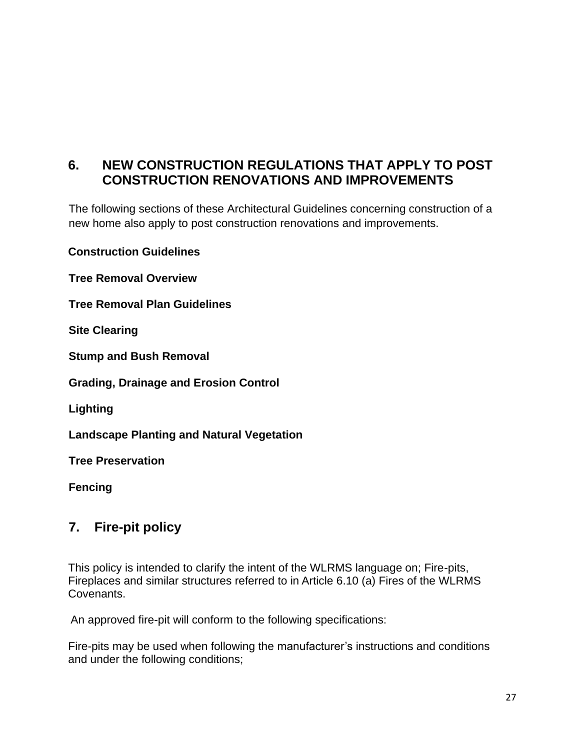#### **6. NEW CONSTRUCTION REGULATIONS THAT APPLY TO POST CONSTRUCTION RENOVATIONS AND IMPROVEMENTS**

The following sections of these Architectural Guidelines concerning construction of a new home also apply to post construction renovations and improvements.

**Construction Guidelines**

**Tree Removal Overview** 

**Tree Removal Plan Guidelines** 

**Site Clearing** 

**Stump and Bush Removal** 

**Grading, Drainage and Erosion Control** 

**Lighting** 

**Landscape Planting and Natural Vegetation** 

**Tree Preservation** 

**Fencing**

#### **7. Fire-pit policy**

This policy is intended to clarify the intent of the WLRMS language on; Fire-pits, Fireplaces and similar structures referred to in Article 6.10 (a) Fires of the WLRMS Covenants.

An approved fire-pit will conform to the following specifications:

Fire-pits may be used when following the manufacturer's instructions and conditions and under the following conditions;